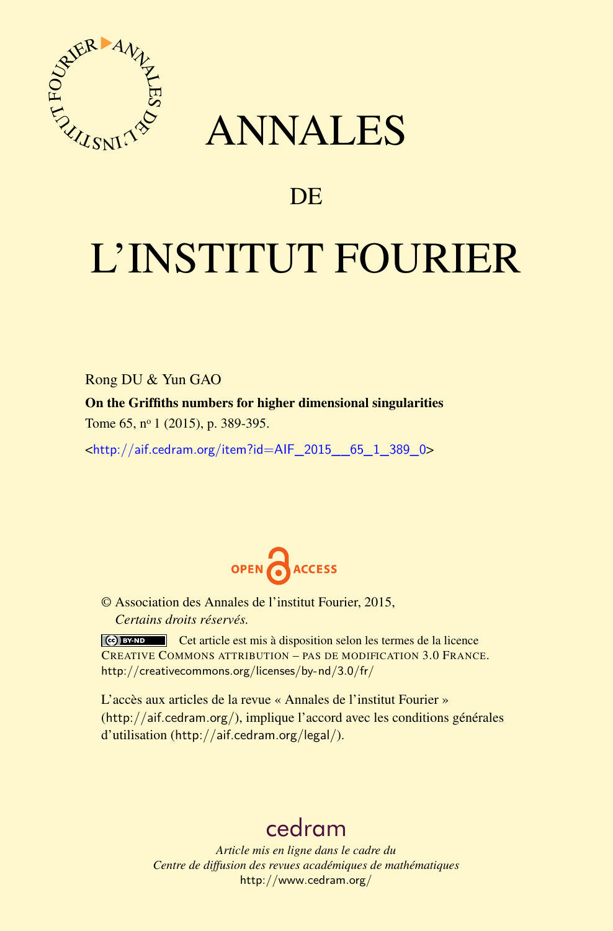

## ANNALES

### **DE**

# L'INSTITUT FOURIER

Rong DU & Yun GAO

On the Griffiths numbers for higher dimensional singularities

Tome 65, nº 1 (2015), p. 389-395.

<[http://aif.cedram.org/item?id=AIF\\_2015\\_\\_65\\_1\\_389\\_0](http://aif.cedram.org/item?id=AIF_2015__65_1_389_0)>



© Association des Annales de l'institut Fourier, 2015, *Certains droits réservés.*

Cet article est mis à disposition selon les termes de la licence CREATIVE COMMONS ATTRIBUTION – PAS DE MODIFICATION 3.0 FRANCE. <http://creativecommons.org/licenses/by-nd/3.0/fr/>

L'accès aux articles de la revue « Annales de l'institut Fourier » (<http://aif.cedram.org/>), implique l'accord avec les conditions générales d'utilisation (<http://aif.cedram.org/legal/>).

## [cedram](http://www.cedram.org/)

*Article mis en ligne dans le cadre du Centre de diffusion des revues académiques de mathématiques* <http://www.cedram.org/>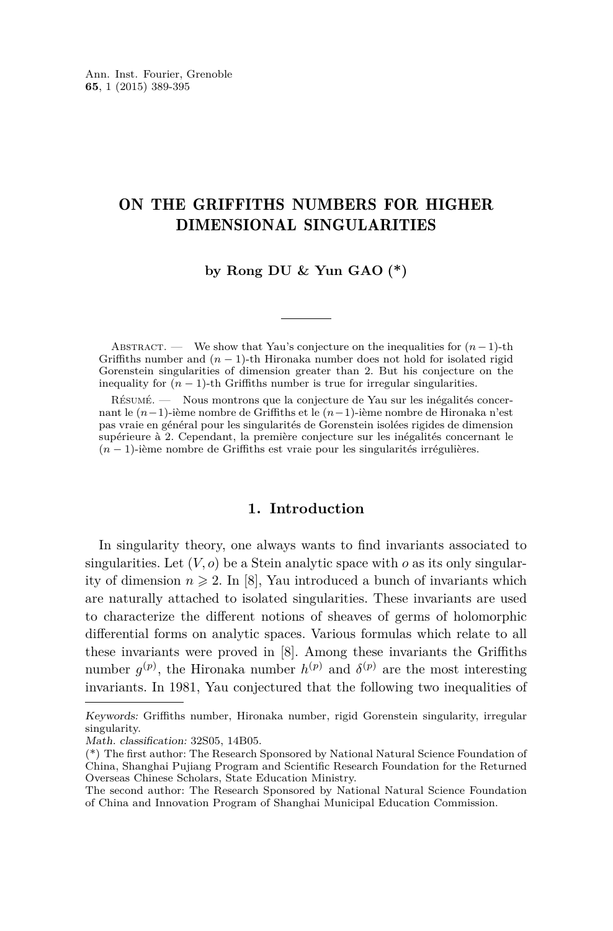#### ON THE GRIFFITHS NUMBERS FOR HIGHER DIMENSIONAL SINGULARITIES

#### **by Rong DU & Yun GAO (\*)**

ABSTRACT. — We show that Yau's conjecture on the inequalities for  $(n-1)$ -th Griffiths number and  $(n-1)$ -th Hironaka number does not hold for isolated rigid Gorenstein singularities of dimension greater than 2. But his conjecture on the inequality for  $(n - 1)$ -th Griffiths number is true for irregular singularities.

Résumé. — Nous montrons que la conjecture de Yau sur les inégalités concernant le (*n*−1)-ième nombre de Griffiths et le (*n*−1)-ième nombre de Hironaka n'est pas vraie en général pour les singularités de Gorenstein isolées rigides de dimension supérieure à 2. Cependant, la première conjecture sur les inégalités concernant le (*n* − 1)-ième nombre de Griffiths est vraie pour les singularités irrégulières.

#### **1. Introduction**

In singularity theory, one always wants to find invariants associated to singularities. Let  $(V, o)$  be a Stein analytic space with  $o$  as its only singularity of dimension  $n \geq 2$ . In [\[8\]](#page-7-0), Yau introduced a bunch of invariants which are naturally attached to isolated singularities. These invariants are used to characterize the different notions of sheaves of germs of holomorphic differential forms on analytic spaces. Various formulas which relate to all these invariants were proved in [\[8\]](#page-7-0). Among these invariants the Griffiths number  $g^{(p)}$ , the Hironaka number  $h^{(p)}$  and  $\delta^{(p)}$  are the most interesting invariants. In 1981, Yau conjectured that the following two inequalities of

Keywords: Griffiths number, Hironaka number, rigid Gorenstein singularity, irregular singularity.

Math. classification: 32S05, 14B05.

<sup>(\*)</sup> The first author: The Research Sponsored by National Natural Science Foundation of China, Shanghai Pujiang Program and Scientific Research Foundation for the Returned Overseas Chinese Scholars, State Education Ministry.

The second author: The Research Sponsored by National Natural Science Foundation of China and Innovation Program of Shanghai Municipal Education Commission.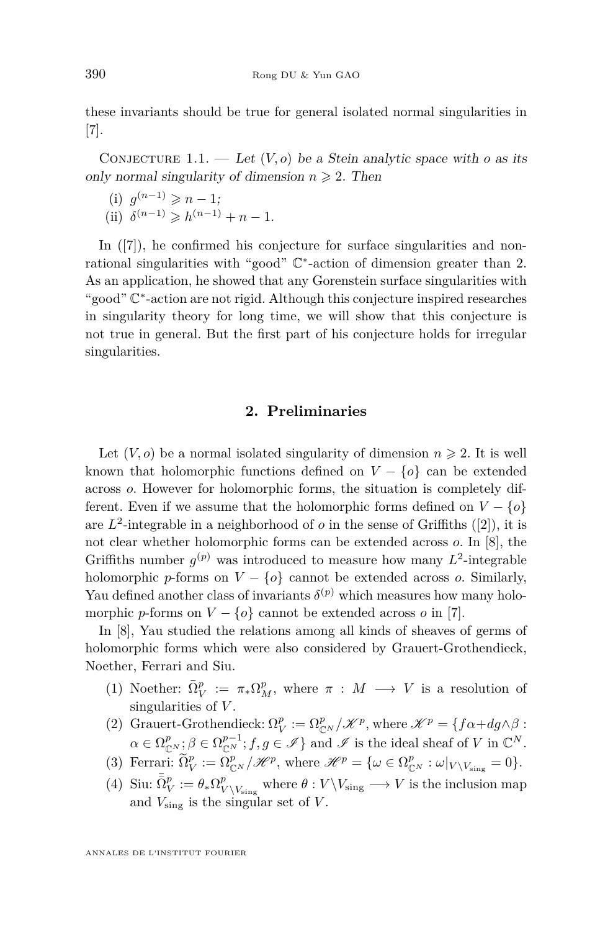these invariants should be true for general isolated normal singularities in [\[7\]](#page-6-0).

CONJECTURE 1.1. — Let  $(V, o)$  be a Stein analytic space with *o* as its only normal singularity of dimension  $n \geq 2$ . Then

- (i)  $g^{(n-1)} \ge n-1;$
- (ii)  $\delta^{(n-1)} \geq h^{(n-1)} + n 1$ .

In  $([7])$  $([7])$  $([7])$ , he confirmed his conjecture for surface singularities and nonrational singularities with "good" C ∗ -action of dimension greater than 2. As an application, he showed that any Gorenstein surface singularities with "good" C ∗ -action are not rigid. Although this conjecture inspired researches in singularity theory for long time, we will show that this conjecture is not true in general. But the first part of his conjecture holds for irregular singularities.

#### **2. Preliminaries**

Let  $(V, o)$  be a normal isolated singularity of dimension  $n \geq 2$ . It is well known that holomorphic functions defined on  $V - \{o\}$  can be extended across *o*. However for holomorphic forms, the situation is completely different. Even if we assume that the holomorphic forms defined on  $V - \{o\}$ are  $L^2$ -integrable in a neighborhood of  $o$  in the sense of Griffiths ([\[2\]](#page-6-0)), it is not clear whether holomorphic forms can be extended across *o*. In [\[8\]](#page-7-0), the Griffiths number  $g^{(p)}$  was introduced to measure how many  $L^2$ -integrable holomorphic *p*-forms on  $V - \{o\}$  cannot be extended across *o*. Similarly, Yau defined another class of invariants  $\delta^{(p)}$  which measures how many holomorphic *p*-forms on  $V - \{o\}$  cannot be extended across *o* in [\[7\]](#page-6-0).

In [\[8\]](#page-7-0), Yau studied the relations among all kinds of sheaves of germs of holomorphic forms which were also considered by Grauert-Grothendieck, Noether, Ferrari and Siu.

- (1) Noether:  $\bar{\Omega}_V^p := \pi_* \Omega_M^p$ , where  $\pi : M \longrightarrow V$  is a resolution of singularities of *V* .
- (2) Grauert-Grothendieck:  $\Omega_V^p := \Omega_{\mathbb{C}^N}^p / \mathcal{K}^p$ , where  $\mathcal{K}^p = \{ f \alpha + dg \wedge \beta :$  $\alpha \in \Omega_{\mathbb{C}^N}^p$ ;  $\beta \in \Omega_{\mathbb{C}^N}^{p-1}$ ;  $f, g \in \mathscr{I}$  } and  $\mathscr{I}$  is the ideal sheaf of *V* in  $\mathbb{C}^N$ .
- (3) Ferrari:  $\widetilde{\Omega}_V^p := \Omega_{\mathbb{C}^N}^p / \mathcal{H}^p$ , where  $\mathcal{H}^p = {\omega \in \Omega_{\mathbb{C}^N}^p : \omega|_{V \setminus V_{\text{sing}}} = 0}.$
- (4) Siu:  $\bar{\Omega}_V^p := \theta_* \Omega_V^p$  $\frac{p}{V \setminus V_{\text{sing}}}$  where  $\theta: V \setminus V_{\text{sing}} \longrightarrow V$  is the inclusion map and *V*sing is the singular set of *V* .

ANNALES DE L'INSTITUT FOURIER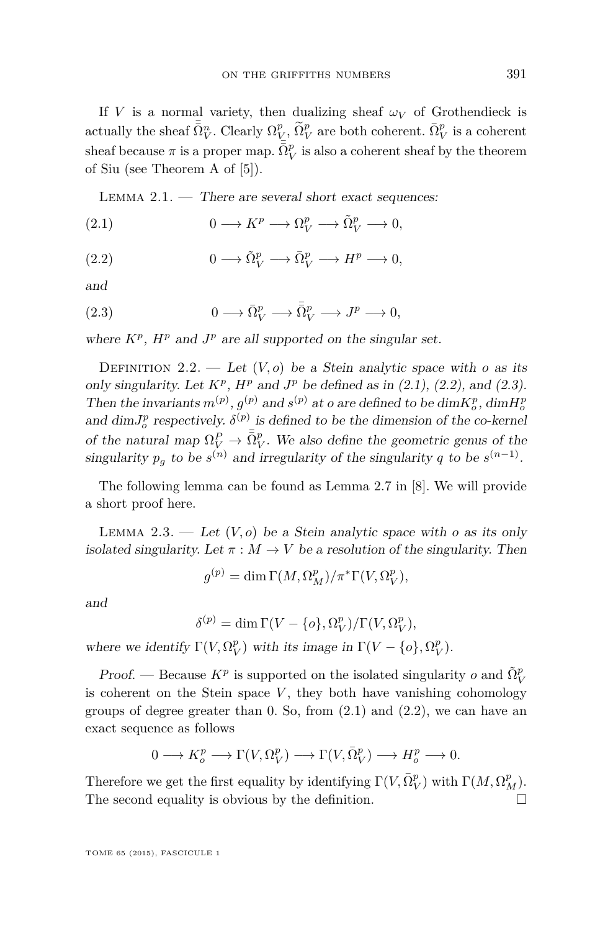<span id="page-3-0"></span>If *V* is a normal variety, then dualizing sheaf  $\omega_V$  of Grothendieck is actually the sheaf  $\bar{\bar{\Omega}}_V^n$ . Clearly  $\Omega_V^p$ ,  $\tilde{\Omega}_V^p$  are both coherent.  $\bar{\Omega}_V^p$  is a coherent sheaf because  $\pi$  is a proper map.  $\bar{\bar{\Omega}}_V^p$  is also a coherent sheaf by the theorem of Siu (see Theorem A of [\[5\]](#page-6-0)).

LEMMA  $2.1.$  — There are several short exact sequences:

(2.1) 
$$
0 \longrightarrow K^p \longrightarrow \Omega_V^p \longrightarrow \tilde{\Omega}_V^p \longrightarrow 0,
$$

(2.2) 
$$
0 \longrightarrow \tilde{\Omega}_V^p \longrightarrow \bar{\Omega}_V^p \longrightarrow H^p \longrightarrow 0,
$$

and

(2.3) 
$$
0 \longrightarrow \bar{\Omega}_V^p \longrightarrow \bar{\bar{\Omega}}_V^p \longrightarrow J^p \longrightarrow 0,
$$

where  $K^p$ ,  $H^p$  and  $J^p$  are all supported on the singular set.

DEFINITION 2.2. — Let  $(V, o)$  be a Stein analytic space with *o* as its only singularity. Let  $K^p$ ,  $H^p$  and  $J^p$  be defined as in (2.1), (2.2), and (2.3). Then the invariants  $m^{(p)}$ ,  $g^{(p)}$  and  $s^{(p)}$  at *o* are defined to be  $\dim K_o^p$ ,  $\dim H_o^p$ and dim $J_o^p$  respectively.  $\delta^{(p)}$  is defined to be the dimension of the co-kernel of the natural map  $\Omega_V^P \to \bar{\Omega}_V^P$ . We also define the geometric genus of the singularity  $p_g$  to be  $s^{(n)}$  and irregularity of the singularity *q* to be  $s^{(n-1)}$ .

The following lemma can be found as Lemma 2.7 in [\[8\]](#page-7-0). We will provide a short proof here.

LEMMA 2.3. — Let  $(V, o)$  be a Stein analytic space with *o* as its only isolated singularity. Let  $\pi : M \to V$  be a resolution of the singularity. Then

$$
g^{(p)} = \dim \Gamma(M, \Omega_M^p) / \pi^* \Gamma(V, \Omega_V^p),
$$

and

$$
\delta^{(p)} = \dim \Gamma(V - \{o\}, \Omega_V^p) / \Gamma(V, \Omega_V^p),
$$

where we identify  $\Gamma(V, \Omega_V^p)$  with its image in  $\Gamma(V - \{o\}, \Omega_V^p)$ .

*Proof.* — Because  $K^p$  is supported on the isolated singularity *o* and  $\tilde{\Omega}_V^p$ is coherent on the Stein space  $V$ , they both have vanishing cohomology groups of degree greater than 0. So, from (2.1) and (2.2), we can have an exact sequence as follows

$$
0 \longrightarrow K_o^p \longrightarrow \Gamma(V, \Omega_V^p) \longrightarrow \Gamma(V, \bar{\Omega}_V^p) \longrightarrow H_o^p \longrightarrow 0.
$$

Therefore we get the first equality by identifying  $\Gamma(V, \bar{\Omega}_V^p)$  with  $\Gamma(M, \Omega_M^p)$ . The second equality is obvious by the definition.  $\Box$ 

TOME 65 (2015), FASCICULE 1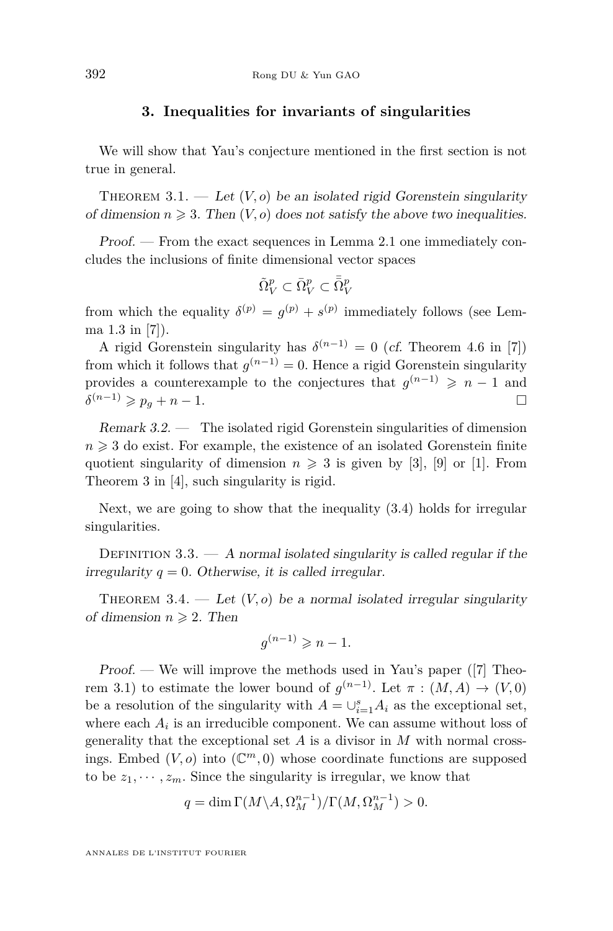#### **3. Inequalities for invariants of singularities**

<span id="page-4-0"></span>We will show that Yau's conjecture mentioned in the first section is not true in general.

THEOREM  $3.1.$  — Let  $(V, o)$  be an isolated rigid Gorenstein singularity of dimension  $n \geqslant 3$ . Then  $(V, o)$  does not satisfy the above two inequalities.

Proof. — From the exact sequences in Lemma [2.1](#page-3-0) one immediately concludes the inclusions of finite dimensional vector spaces

$$
\tilde{\Omega}_V^p\subset \bar{\Omega}_V^p\subset \bar{\bar{\Omega}}_V^p
$$

from which the equality  $\delta^{(p)} = g^{(p)} + s^{(p)}$  immediately follows (see Lemma 1.3 in [\[7\]](#page-6-0)).

A rigid Gorenstein singularity has  $\delta^{(n-1)} = 0$  (*cf.* Theorem 4.6 in [\[7\]](#page-6-0)) from which it follows that  $g^{(n-1)} = 0$ . Hence a rigid Gorenstein singularity provides a counterexample to the conjectures that  $g^{(n-1)} \geq n-1$  and  $\delta^{(n-1)} \geqslant p_g + n - 1.$ 

Remark 3.2. — The isolated rigid Gorenstein singularities of dimension  $n \geqslant 3$  do exist. For example, the existence of an isolated Gorenstein finite quotient singularity of dimension  $n \geqslant 3$  is given by [\[3\]](#page-6-0), [\[9\]](#page-7-0) or [\[1\]](#page-6-0). From Theorem 3 in [\[4\]](#page-6-0), such singularity is rigid.

Next, we are going to show that the inequality (3.4) holds for irregular singularities.

DEFINITION  $3.3. - A$  normal isolated singularity is called regular if the irregularity  $q = 0$ . Otherwise, it is called irregular.

THEOREM 3.4.  $\qquad \qquad Let \ (V, o)$  be a normal isolated irregular singularity of dimension  $n \geqslant 2$ . Then

$$
g^{(n-1)} \geqslant n-1.
$$

Proof. — We will improve the methods used in Yau's paper ([\[7\]](#page-6-0) Theorem 3.1) to estimate the lower bound of  $g^{(n-1)}$ . Let  $\pi : (M, A) \to (V, 0)$ be a resolution of the singularity with  $A = \bigcup_{i=1}^{s} A_i$  as the exceptional set, where each  $A_i$  is an irreducible component. We can assume without loss of generality that the exceptional set *A* is a divisor in *M* with normal crossings. Embed  $(V, o)$  into  $(\mathbb{C}^m, 0)$  whose coordinate functions are supposed to be  $z_1, \dots, z_m$ . Since the singularity is irregular, we know that

$$
q = \dim \Gamma(M \setminus A, \Omega_M^{n-1}) / \Gamma(M, \Omega_M^{n-1}) > 0.
$$

ANNALES DE L'INSTITUT FOURIER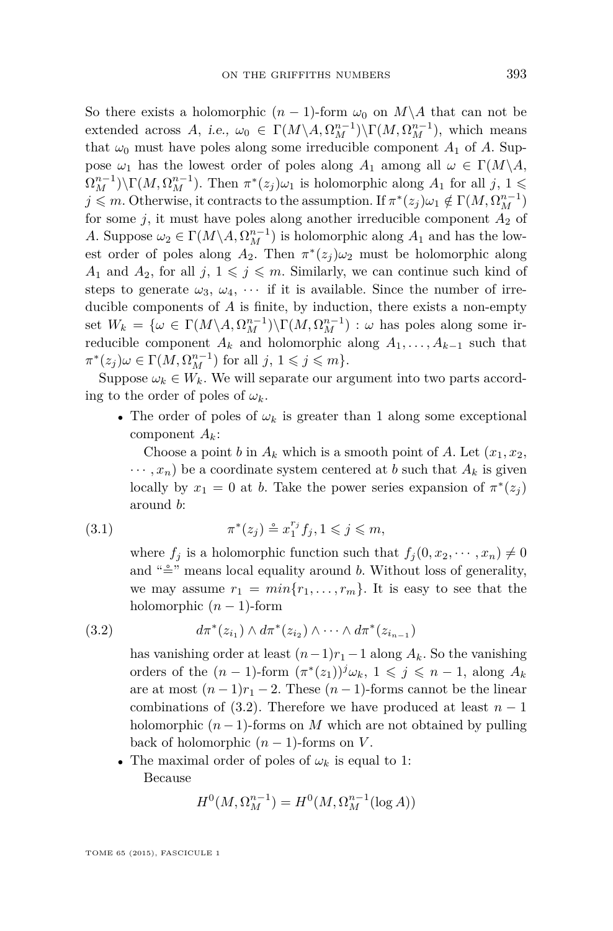<span id="page-5-0"></span>So there exists a holomorphic  $(n-1)$ -form  $\omega_0$  on  $M\ A$  that can not be extended across *A*, i.e.,  $\omega_0 \in \Gamma(M \setminus A, \Omega_M^{n-1}) \setminus \Gamma(M, \Omega_M^{n-1})$ , which means that  $\omega_0$  must have poles along some irreducible component  $A_1$  of  $A$ . Suppose  $\omega_1$  has the lowest order of poles along  $A_1$  among all  $\omega \in \Gamma(M \backslash A)$ ,  $\Omega_M^{n-1}$ )\ $\Gamma(M, \Omega_M^{n-1})$ . Then  $\pi^*(z_j)\omega_1$  is holomorphic along  $A_1$  for all  $j, 1 \leq j$  $j \leq m$ . Otherwise, it contracts to the assumption. If  $\pi^*(z_j)\omega_1 \notin \Gamma(M, \Omega_M^{n-1})$ for some  $j$ , it must have poles along another irreducible component  $A_2$  of *A*. Suppose  $\omega_2 \in \Gamma(M \setminus A, \Omega_M^{n-1})$  is holomorphic along  $A_1$  and has the lowest order of poles along  $A_2$ . Then  $\pi^*(z_j)\omega_2$  must be holomorphic along  $A_1$  and  $A_2$ , for all  $j, 1 \leq j \leq m$ . Similarly, we can continue such kind of steps to generate  $\omega_3$ ,  $\omega_4$ ,  $\cdots$  if it is available. Since the number of irreducible components of *A* is finite, by induction, there exists a non-empty set  $W_k = \{\omega \in \Gamma(M \setminus A, \Omega_M^{n-1}) \setminus \Gamma(M, \Omega_M^{n-1}) : \omega \text{ has poles along some ir-}$ reducible component  $A_k$  and holomorphic along  $A_1, \ldots, A_{k-1}$  such that  $\pi^*(z_j)\omega \in \Gamma(M, \Omega_M^{n-1})$  for all  $j, 1 \leqslant j \leqslant m$ .

Suppose  $\omega_k \in W_k$ . We will separate our argument into two parts according to the order of poles of  $\omega_k$ .

• The order of poles of  $\omega_k$  is greater than 1 along some exceptional component *Ak*:

Choose a point *b* in  $A_k$  which is a smooth point of  $A$ . Let  $(x_1, x_2,$  $\cdots$ ,  $x_n$ ) be a coordinate system centered at *b* such that  $A_k$  is given locally by  $x_1 = 0$  at *b*. Take the power series expansion of  $\pi^*(z_j)$ around *b*:

(3.1) 
$$
\pi^*(z_j) \stackrel{\circ}{=} x_1^{r_j} f_j, 1 \leqslant j \leqslant m,
$$

where  $f_j$  is a holomorphic function such that  $f_j(0, x_2, \dots, x_n) \neq 0$ and " $\stackrel{\sim}{=}$ " means local equality around *b*. Without loss of generality, we may assume  $r_1 = min\{r_1, \ldots, r_m\}$ . It is easy to see that the holomorphic  $(n-1)$ -form

)

(3.2) 
$$
d\pi^*(z_{i_1}) \wedge d\pi^*(z_{i_2}) \wedge \cdots \wedge d\pi^*(z_{i_{n-1}})
$$

has vanishing order at least  $(n-1)r_1 - 1$  along  $A_k$ . So the vanishing orders of the  $(n-1)$ -form  $(\pi^*(z_1))^j \omega_k$ ,  $1 \leq j \leq n-1$ , along  $A_k$ are at most  $(n-1)r_1-2$ . These  $(n-1)$ -forms cannot be the linear combinations of  $(3.2)$ . Therefore we have produced at least  $n-1$ holomorphic  $(n-1)$ -forms on *M* which are not obtained by pulling back of holomorphic  $(n-1)$ -forms on *V*.

• The maximal order of poles of  $\omega_k$  is equal to 1: Because

$$
H^{0}(M, \Omega_{M}^{n-1}) = H^{0}(M, \Omega_{M}^{n-1}(\log A))
$$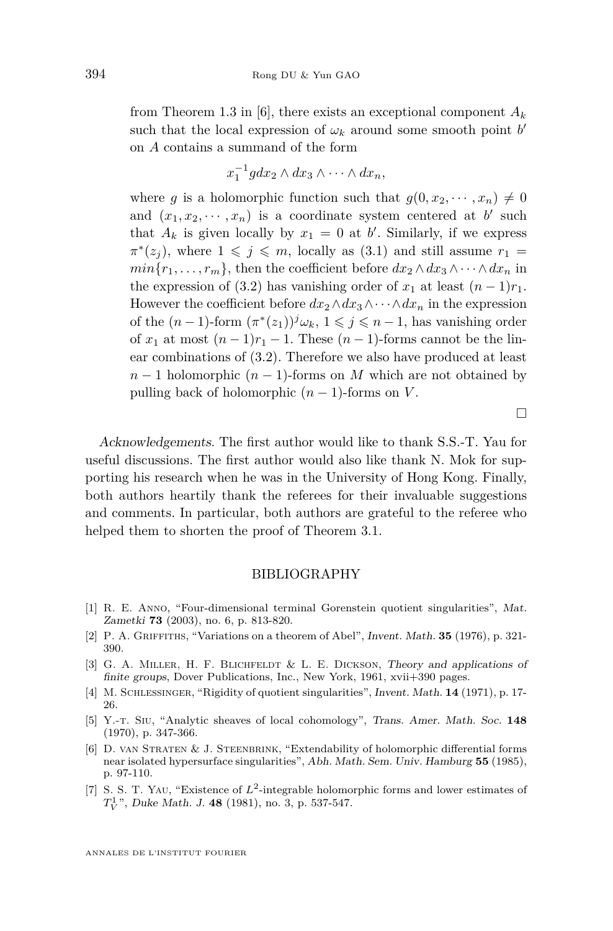<span id="page-6-0"></span>from Theorem 1.3 in [6], there exists an exceptional component *A<sup>k</sup>* such that the local expression of  $\omega_k$  around some smooth point *b*<sup>*'*</sup> on *A* contains a summand of the form

$$
x_1^{-1}gdx_2\wedge dx_3\wedge\cdots\wedge dx_n,
$$

where *g* is a holomorphic function such that  $g(0, x_2, \dots, x_n) \neq 0$ and  $(x_1, x_2, \dots, x_n)$  is a coordinate system centered at *b*' such that  $A_k$  is given locally by  $x_1 = 0$  at *b*'. Similarly, if we express  $\pi^*(z_j)$ , where  $1 \leq j \leq m$ , locally as [\(3.1\)](#page-5-0) and still assume  $r_1 =$  $min\{r_1, \ldots, r_m\}$ , then the coefficient before  $dx_2 \wedge dx_3 \wedge \cdots \wedge dx_n$  in the expression of [\(3.2\)](#page-5-0) has vanishing order of  $x_1$  at least  $(n-1)r_1$ . However the coefficient before  $dx_2 \wedge dx_3 \wedge \cdots \wedge dx_n$  in the expression of the  $(n-1)$ -form  $(\pi^*(z_1))<sup>j</sup>\omega_k$ ,  $1 \leq j \leq n-1$ , has vanishing order of  $x_1$  at most  $(n-1)r_1 - 1$ . These  $(n-1)$ -forms cannot be the linear combinations of [\(3.2\)](#page-5-0). Therefore we also have produced at least  $n-1$  holomorphic  $(n-1)$ -forms on *M* which are not obtained by pulling back of holomorphic  $(n-1)$ -forms on *V*.

Acknowledgements. The first author would like to thank S.S.-T. Yau for useful discussions. The first author would also like thank N. Mok for supporting his research when he was in the University of Hong Kong. Finally, both authors heartily thank the referees for their invaluable suggestions and comments. In particular, both authors are grateful to the referee who helped them to shorten the proof of Theorem [3.1.](#page-4-0)

#### BIBLIOGRAPHY

- [1] R. E. Anno, "Four-dimensional terminal Gorenstein quotient singularities", Mat. Zametki **73** (2003), no. 6, p. 813-820.
- [2] P. A. Griffiths, "Variations on a theorem of Abel", Invent. Math. **35** (1976), p. 321- 390.
- [3] G. A. Miller, H. F. Blichfeldt & L. E. Dickson, Theory and applications of finite groups, Dover Publications, Inc., New York, 1961, xvii+390 pages.
- [4] M. Schlessinger, "Rigidity of quotient singularities", Invent. Math. **14** (1971), p. 17- 26.
- [5] Y.-t. Siu, "Analytic sheaves of local cohomology", Trans. Amer. Math. Soc. **148** (1970), p. 347-366.
- [6] D. van Straten & J. Steenbrink, "Extendability of holomorphic differential forms near isolated hypersurface singularities", Abh. Math. Sem. Univ. Hamburg **55** (1985), p. 97-110.
- [7] S. S. T. YAU, "Existence of  $L^2$ -integrable holomorphic forms and lower estimates of *T* 1 *V* ", Duke Math. J. **48** (1981), no. 3, p. 537-547.

 $\Box$